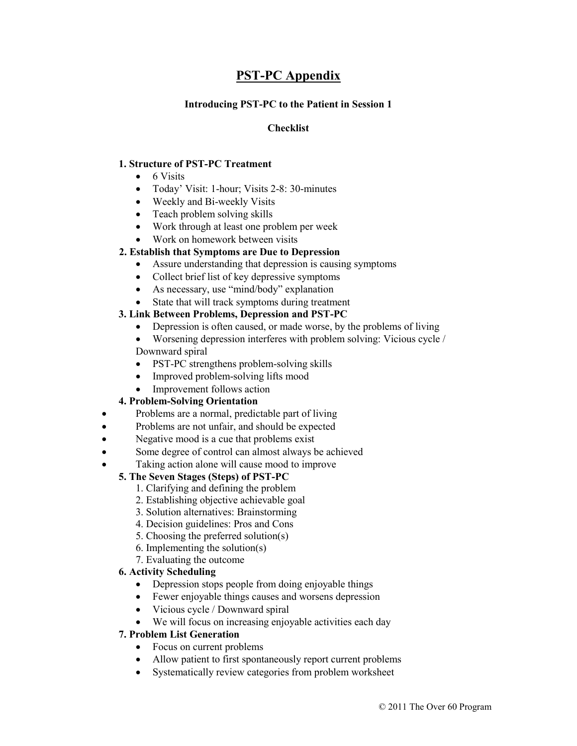# **PST-PC Appendix**

# **Introducing PST-PC to the Patient in Session 1**

# **Checklist**

# **1. Structure of PST-PC Treatment**

- $\bullet$  6 Visits
- Today' Visit: 1-hour; Visits 2-8: 30-minutes
- Weekly and Bi-weekly Visits
- Teach problem solving skills
- Work through at least one problem per week
- Work on homework between visits

# **2. Establish that Symptoms are Due to Depression**

- Assure understanding that depression is causing symptoms
- Collect brief list of key depressive symptoms
- As necessary, use "mind/body" explanation
- State that will track symptoms during treatment

# **3. Link Between Problems, Depression and PST-PC**

• Depression is often caused, or made worse, by the problems of living

 Worsening depression interferes with problem solving: Vicious cycle / Downward spiral

- PST-PC strengthens problem-solving skills
- Improved problem-solving lifts mood
- Improvement follows action

# **4. Problem-Solving Orientation**

- Problems are a normal, predictable part of living
- Problems are not unfair, and should be expected
- Negative mood is a cue that problems exist
- Some degree of control can almost always be achieved
- Taking action alone will cause mood to improve

# **5. The Seven Stages (Steps) of PST-PC**

- 1. Clarifying and defining the problem
- 2. Establishing objective achievable goal
- 3. Solution alternatives: Brainstorming
- 4. Decision guidelines: Pros and Cons
- 5. Choosing the preferred solution(s)
- 6. Implementing the solution(s)
- 7. Evaluating the outcome

# **6. Activity Scheduling**

- Depression stops people from doing enjoyable things
- Fewer enjoyable things causes and worsens depression
- Vicious cycle / Downward spiral
- We will focus on increasing enjoyable activities each day

# **7. Problem List Generation**

- Focus on current problems
- Allow patient to first spontaneously report current problems
- Systematically review categories from problem worksheet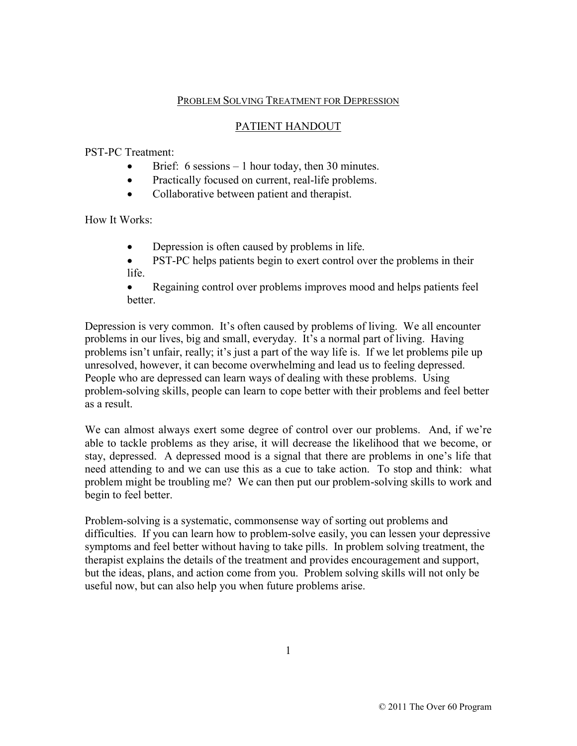# PROBLEM SOLVING TREATMENT FOR DEPRESSION

# PATIENT HANDOUT

PST-PC Treatment:

- Brief: 6 sessions 1 hour today, then 30 minutes.
- Practically focused on current, real-life problems.
- Collaborative between patient and therapist.

How It Works:

- Depression is often caused by problems in life.
- PST-PC helps patients begin to exert control over the problems in their life.
- Regaining control over problems improves mood and helps patients feel better.

Depression is very common. It's often caused by problems of living. We all encounter problems in our lives, big and small, everyday. It's a normal part of living. Having problems isn't unfair, really; it's just a part of the way life is. If we let problems pile up unresolved, however, it can become overwhelming and lead us to feeling depressed. People who are depressed can learn ways of dealing with these problems. Using problem-solving skills, people can learn to cope better with their problems and feel better as a result.

We can almost always exert some degree of control over our problems. And, if we're able to tackle problems as they arise, it will decrease the likelihood that we become, or stay, depressed. A depressed mood is a signal that there are problems in one's life that need attending to and we can use this as a cue to take action. To stop and think: what problem might be troubling me? We can then put our problem-solving skills to work and begin to feel better.

Problem-solving is a systematic, commonsense way of sorting out problems and difficulties. If you can learn how to problem-solve easily, you can lessen your depressive symptoms and feel better without having to take pills. In problem solving treatment, the therapist explains the details of the treatment and provides encouragement and support, but the ideas, plans, and action come from you. Problem solving skills will not only be useful now, but can also help you when future problems arise.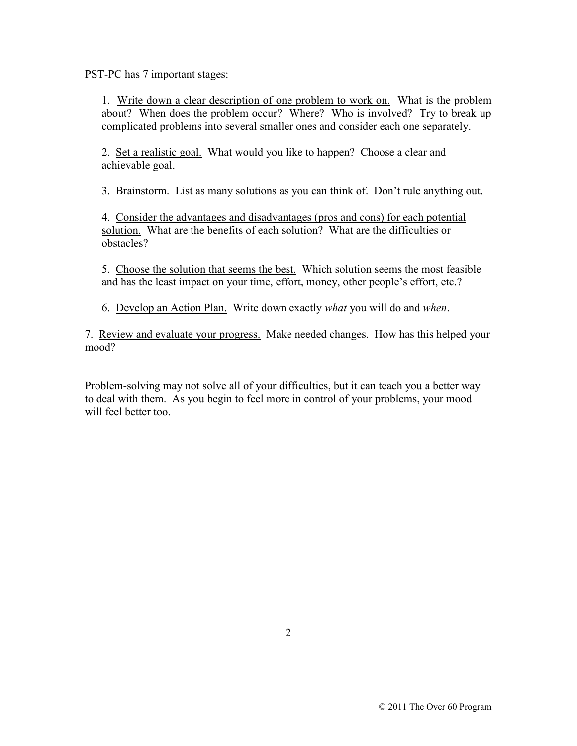PST-PC has 7 important stages:

1. Write down a clear description of one problem to work on. What is the problem about? When does the problem occur? Where? Who is involved? Try to break up complicated problems into several smaller ones and consider each one separately.

2. Set a realistic goal. What would you like to happen? Choose a clear and achievable goal.

3. Brainstorm. List as many solutions as you can think of. Don't rule anything out.

4. Consider the advantages and disadvantages (pros and cons) for each potential solution. What are the benefits of each solution? What are the difficulties or obstacles?

5. Choose the solution that seems the best. Which solution seems the most feasible and has the least impact on your time, effort, money, other people's effort, etc.?

6. Develop an Action Plan. Write down exactly *what* you will do and *when*.

7. Review and evaluate your progress. Make needed changes. How has this helped your mood?

Problem-solving may not solve all of your difficulties, but it can teach you a better way to deal with them. As you begin to feel more in control of your problems, your mood will feel better too.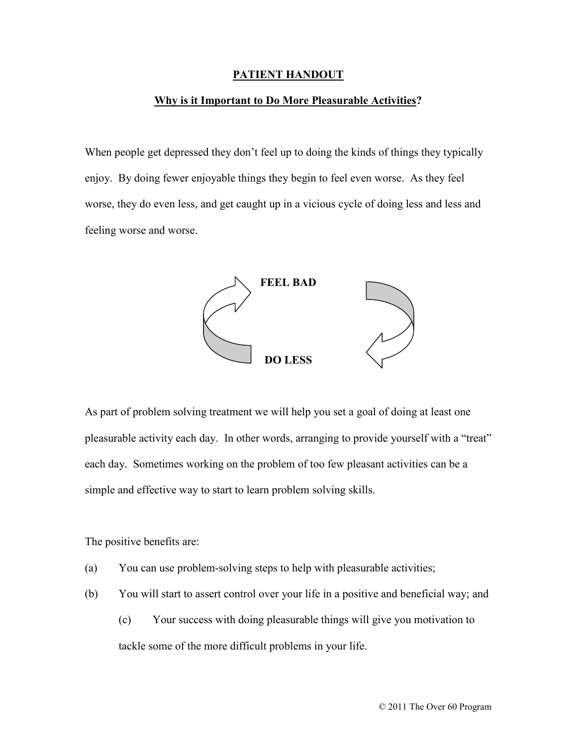#### **PATIENT HANDOUT**

#### **Why is it Important to Do More Pleasurable Activities?**

When people get depressed they don't feel up to doing the kinds of things they typically enjoy. By doing fewer enjoyable things they begin to feel even worse. As they feel worse, they do even less, and get caught up in a vicious cycle of doing less and less and feeling worse and worse.



As part of problem solving treatment we will help you set a goal of doing at least one pleasurable activity each day. In other words, arranging to provide yourself with a "treat" each day. Sometimes working on the problem of too few pleasant activities can be a simple and effective way to start to learn problem solving skills.

The positive benefits are:

- (a) You can use problem-solving steps to help with pleasurable activities;
- (b) You will start to assert control over your life in a positive and beneficial way; and
	- (c) Your success with doing pleasurable things will give you motivation to tackle some of the more difficult problems in your life.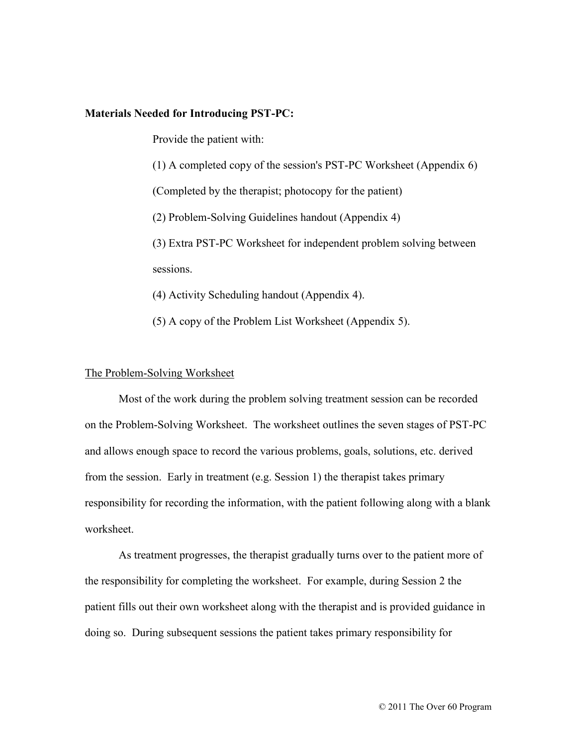#### **Materials Needed for Introducing PST-PC:**

Provide the patient with:

(1) A completed copy of the session's PST-PC Worksheet (Appendix 6)

(Completed by the therapist; photocopy for the patient)

(2) Problem-Solving Guidelines handout (Appendix 4)

(3) Extra PST-PC Worksheet for independent problem solving between sessions.

(4) Activity Scheduling handout (Appendix 4).

(5) A copy of the Problem List Worksheet (Appendix 5).

#### The Problem-Solving Worksheet

Most of the work during the problem solving treatment session can be recorded on the Problem-Solving Worksheet. The worksheet outlines the seven stages of PST-PC and allows enough space to record the various problems, goals, solutions, etc. derived from the session. Early in treatment (e.g. Session 1) the therapist takes primary responsibility for recording the information, with the patient following along with a blank worksheet.

As treatment progresses, the therapist gradually turns over to the patient more of the responsibility for completing the worksheet. For example, during Session 2 the patient fills out their own worksheet along with the therapist and is provided guidance in doing so. During subsequent sessions the patient takes primary responsibility for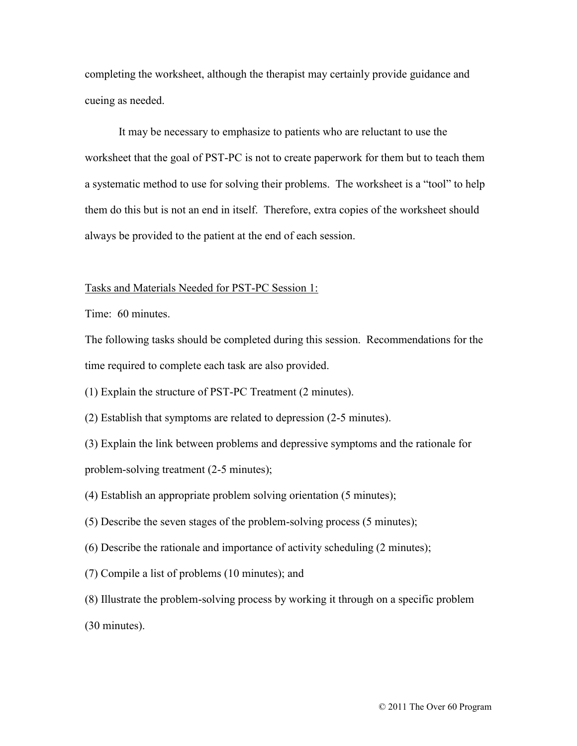completing the worksheet, although the therapist may certainly provide guidance and cueing as needed.

It may be necessary to emphasize to patients who are reluctant to use the worksheet that the goal of PST-PC is not to create paperwork for them but to teach them a systematic method to use for solving their problems. The worksheet is a "tool" to help them do this but is not an end in itself. Therefore, extra copies of the worksheet should always be provided to the patient at the end of each session.

#### Tasks and Materials Needed for PST-PC Session 1:

Time: 60 minutes.

The following tasks should be completed during this session. Recommendations for the time required to complete each task are also provided.

(1) Explain the structure of PST-PC Treatment (2 minutes).

(2) Establish that symptoms are related to depression (2-5 minutes).

(3) Explain the link between problems and depressive symptoms and the rationale for problem-solving treatment (2-5 minutes);

(4) Establish an appropriate problem solving orientation (5 minutes);

(5) Describe the seven stages of the problem-solving process (5 minutes);

(6) Describe the rationale and importance of activity scheduling (2 minutes);

(7) Compile a list of problems (10 minutes); and

(8) Illustrate the problem-solving process by working it through on a specific problem

(30 minutes).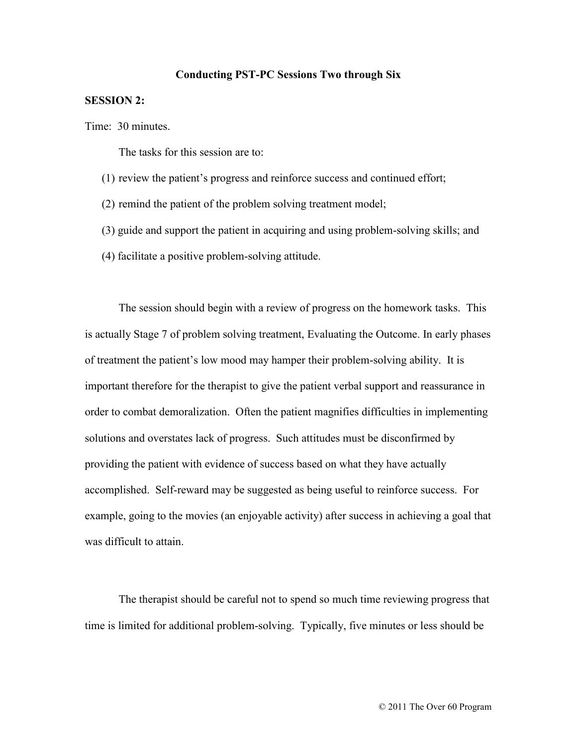#### **Conducting PST-PC Sessions Two through Six**

#### **SESSION 2:**

Time: 30 minutes.

The tasks for this session are to:

- (1) review the patient's progress and reinforce success and continued effort;
- (2) remind the patient of the problem solving treatment model;
- (3) guide and support the patient in acquiring and using problem-solving skills; and
- (4) facilitate a positive problem-solving attitude.

The session should begin with a review of progress on the homework tasks. This is actually Stage 7 of problem solving treatment, Evaluating the Outcome. In early phases of treatment the patient's low mood may hamper their problem-solving ability. It is important therefore for the therapist to give the patient verbal support and reassurance in order to combat demoralization. Often the patient magnifies difficulties in implementing solutions and overstates lack of progress. Such attitudes must be disconfirmed by providing the patient with evidence of success based on what they have actually accomplished. Self-reward may be suggested as being useful to reinforce success. For example, going to the movies (an enjoyable activity) after success in achieving a goal that was difficult to attain.

The therapist should be careful not to spend so much time reviewing progress that time is limited for additional problem-solving. Typically, five minutes or less should be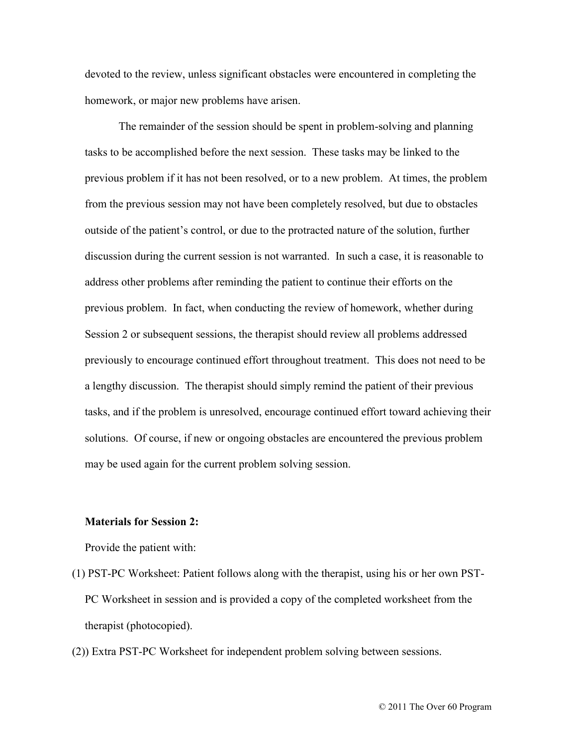devoted to the review, unless significant obstacles were encountered in completing the homework, or major new problems have arisen.

The remainder of the session should be spent in problem-solving and planning tasks to be accomplished before the next session. These tasks may be linked to the previous problem if it has not been resolved, or to a new problem. At times, the problem from the previous session may not have been completely resolved, but due to obstacles outside of the patient's control, or due to the protracted nature of the solution, further discussion during the current session is not warranted. In such a case, it is reasonable to address other problems after reminding the patient to continue their efforts on the previous problem. In fact, when conducting the review of homework, whether during Session 2 or subsequent sessions, the therapist should review all problems addressed previously to encourage continued effort throughout treatment. This does not need to be a lengthy discussion. The therapist should simply remind the patient of their previous tasks, and if the problem is unresolved, encourage continued effort toward achieving their solutions. Of course, if new or ongoing obstacles are encountered the previous problem may be used again for the current problem solving session.

#### **Materials for Session 2:**

Provide the patient with:

- (1) PST-PC Worksheet: Patient follows along with the therapist, using his or her own PST-PC Worksheet in session and is provided a copy of the completed worksheet from the therapist (photocopied).
- (2)) Extra PST-PC Worksheet for independent problem solving between sessions.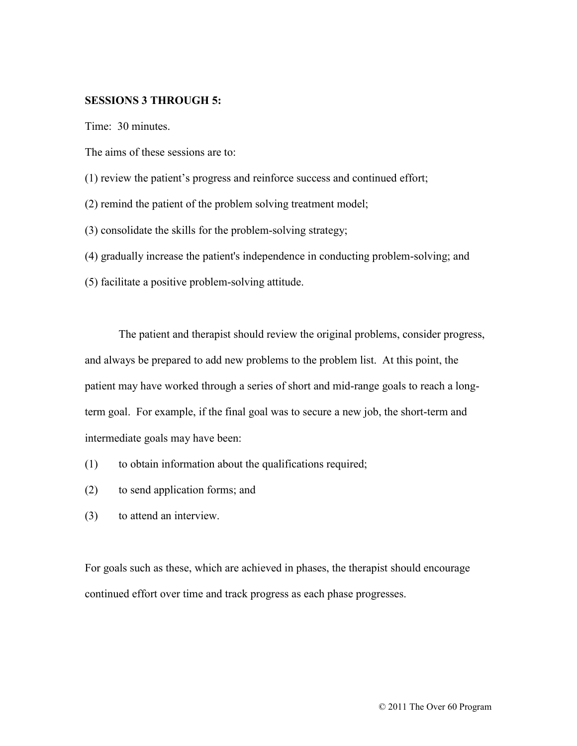### **SESSIONS 3 THROUGH 5:**

Time: 30 minutes.

The aims of these sessions are to:

(1) review the patient's progress and reinforce success and continued effort;

(2) remind the patient of the problem solving treatment model;

(3) consolidate the skills for the problem-solving strategy;

(4) gradually increase the patient's independence in conducting problem-solving; and

(5) facilitate a positive problem-solving attitude.

The patient and therapist should review the original problems, consider progress, and always be prepared to add new problems to the problem list. At this point, the patient may have worked through a series of short and mid-range goals to reach a longterm goal. For example, if the final goal was to secure a new job, the short-term and intermediate goals may have been:

- (1) to obtain information about the qualifications required;
- (2) to send application forms; and
- (3) to attend an interview.

For goals such as these, which are achieved in phases, the therapist should encourage continued effort over time and track progress as each phase progresses.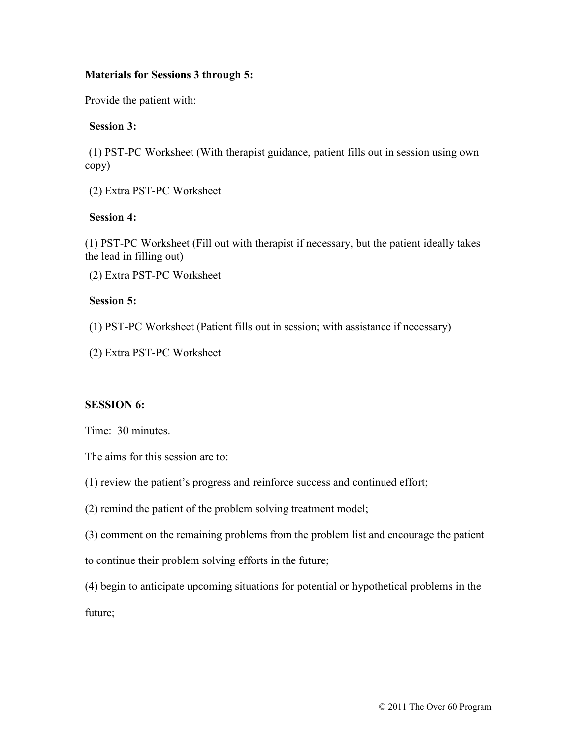# **Materials for Sessions 3 through 5:**

Provide the patient with:

# **Session 3:**

(1) PST-PC Worksheet (With therapist guidance, patient fills out in session using own copy)

(2) Extra PST-PC Worksheet

# **Session 4:**

(1) PST-PC Worksheet (Fill out with therapist if necessary, but the patient ideally takes the lead in filling out)

(2) Extra PST-PC Worksheet

# **Session 5:**

(1) PST-PC Worksheet (Patient fills out in session; with assistance if necessary)

(2) Extra PST-PC Worksheet

# **SESSION 6:**

Time: 30 minutes.

The aims for this session are to:

(1) review the patient's progress and reinforce success and continued effort;

(2) remind the patient of the problem solving treatment model;

(3) comment on the remaining problems from the problem list and encourage the patient

to continue their problem solving efforts in the future;

(4) begin to anticipate upcoming situations for potential or hypothetical problems in the future;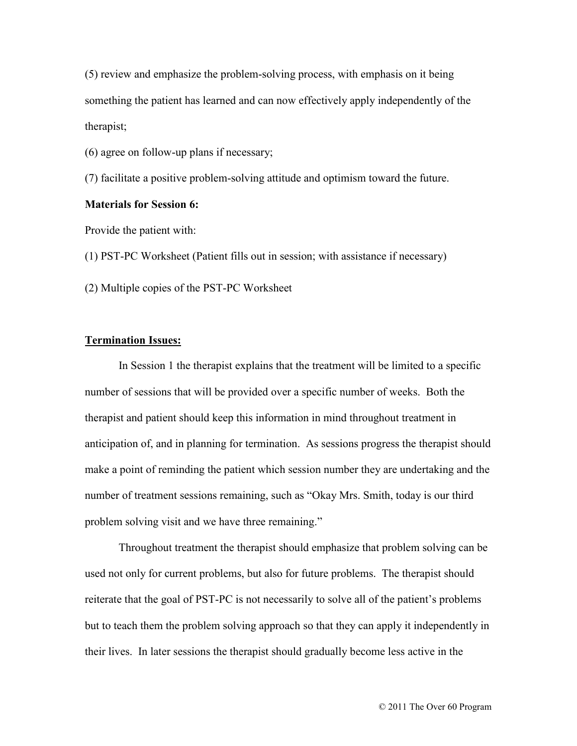(5) review and emphasize the problem-solving process, with emphasis on it being something the patient has learned and can now effectively apply independently of the therapist;

(6) agree on follow-up plans if necessary;

(7) facilitate a positive problem-solving attitude and optimism toward the future.

#### **Materials for Session 6:**

Provide the patient with:

(1) PST-PC Worksheet (Patient fills out in session; with assistance if necessary)

(2) Multiple copies of the PST-PC Worksheet

### **Termination Issues:**

In Session 1 the therapist explains that the treatment will be limited to a specific number of sessions that will be provided over a specific number of weeks. Both the therapist and patient should keep this information in mind throughout treatment in anticipation of, and in planning for termination. As sessions progress the therapist should make a point of reminding the patient which session number they are undertaking and the number of treatment sessions remaining, such as "Okay Mrs. Smith, today is our third problem solving visit and we have three remaining."

Throughout treatment the therapist should emphasize that problem solving can be used not only for current problems, but also for future problems. The therapist should reiterate that the goal of PST-PC is not necessarily to solve all of the patient's problems but to teach them the problem solving approach so that they can apply it independently in their lives. In later sessions the therapist should gradually become less active in the